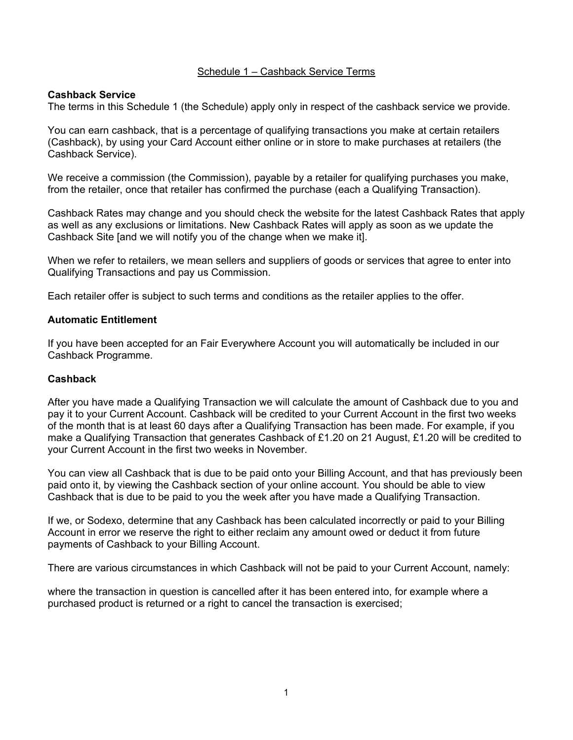## Schedule 1 – Cashback Service Terms

## **Cashback Service**

The terms in this Schedule 1 (the Schedule) apply only in respect of the cashback service we provide.

You can earn cashback, that is a percentage of qualifying transactions you make at certain retailers (Cashback), by using your Card Account either online or in store to make purchases at retailers (the Cashback Service).

We receive a commission (the Commission), payable by a retailer for qualifying purchases you make, from the retailer, once that retailer has confirmed the purchase (each a Qualifying Transaction).

Cashback Rates may change and you should check the website for the latest Cashback Rates that apply as well as any exclusions or limitations. New Cashback Rates will apply as soon as we update the Cashback Site [and we will notify you of the change when we make it].

When we refer to retailers, we mean sellers and suppliers of goods or services that agree to enter into Qualifying Transactions and pay us Commission.

Each retailer offer is subject to such terms and conditions as the retailer applies to the offer.

#### **Automatic Entitlement**

If you have been accepted for an Fair Everywhere Account you will automatically be included in our Cashback Programme.

#### **Cashback**

After you have made a Qualifying Transaction we will calculate the amount of Cashback due to you and pay it to your Current Account. Cashback will be credited to your Current Account in the first two weeks of the month that is at least 60 days after a Qualifying Transaction has been made. For example, if you make a Qualifying Transaction that generates Cashback of £1.20 on 21 August, £1.20 will be credited to your Current Account in the first two weeks in November.

You can view all Cashback that is due to be paid onto your Billing Account, and that has previously been paid onto it, by viewing the Cashback section of your online account. You should be able to view Cashback that is due to be paid to you the week after you have made a Qualifying Transaction.

If we, or Sodexo, determine that any Cashback has been calculated incorrectly or paid to your Billing Account in error we reserve the right to either reclaim any amount owed or deduct it from future payments of Cashback to your Billing Account.

There are various circumstances in which Cashback will not be paid to your Current Account, namely:

where the transaction in question is cancelled after it has been entered into, for example where a purchased product is returned or a right to cancel the transaction is exercised;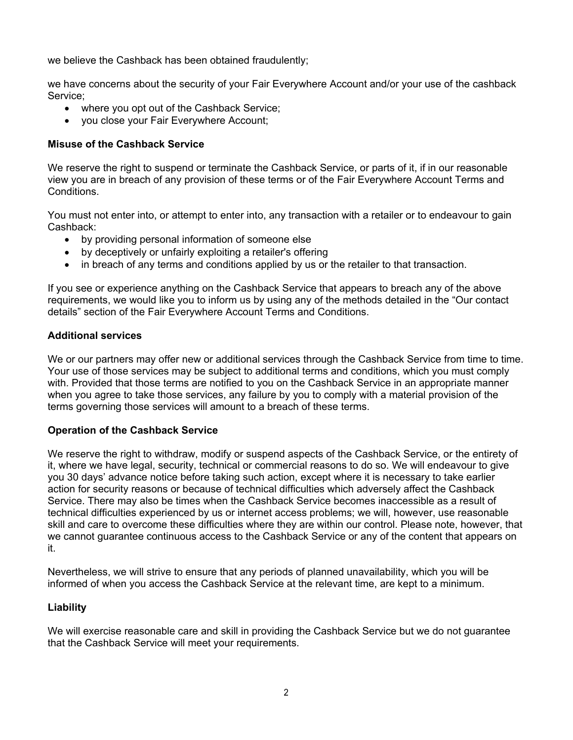we believe the Cashback has been obtained fraudulently;

we have concerns about the security of your Fair Everywhere Account and/or your use of the cashback Service;

- where you opt out of the Cashback Service;
- you close your Fair Everywhere Account;

## **Misuse of the Cashback Service**

We reserve the right to suspend or terminate the Cashback Service, or parts of it, if in our reasonable view you are in breach of any provision of these terms or of the Fair Everywhere Account Terms and Conditions.

You must not enter into, or attempt to enter into, any transaction with a retailer or to endeavour to gain Cashback:

- by providing personal information of someone else
- by deceptively or unfairly exploiting a retailer's offering
- in breach of any terms and conditions applied by us or the retailer to that transaction.

If you see or experience anything on the Cashback Service that appears to breach any of the above requirements, we would like you to inform us by using any of the methods detailed in the "Our contact details" section of the Fair Everywhere Account Terms and Conditions.

## **Additional services**

We or our partners may offer new or additional services through the Cashback Service from time to time. Your use of those services may be subject to additional terms and conditions, which you must comply with. Provided that those terms are notified to you on the Cashback Service in an appropriate manner when you agree to take those services, any failure by you to comply with a material provision of the terms governing those services will amount to a breach of these terms.

#### **Operation of the Cashback Service**

We reserve the right to withdraw, modify or suspend aspects of the Cashback Service, or the entirety of it, where we have legal, security, technical or commercial reasons to do so. We will endeavour to give you 30 days' advance notice before taking such action, except where it is necessary to take earlier action for security reasons or because of technical difficulties which adversely affect the Cashback Service. There may also be times when the Cashback Service becomes inaccessible as a result of technical difficulties experienced by us or internet access problems; we will, however, use reasonable skill and care to overcome these difficulties where they are within our control. Please note, however, that we cannot guarantee continuous access to the Cashback Service or any of the content that appears on it.

Nevertheless, we will strive to ensure that any periods of planned unavailability, which you will be informed of when you access the Cashback Service at the relevant time, are kept to a minimum.

# <span id="page-1-1"></span>**Liability**

<span id="page-1-0"></span>We will exercise reasonable care and skill in providing the Cashback Service but we do not guarantee that the Cashback Service will meet your requirements.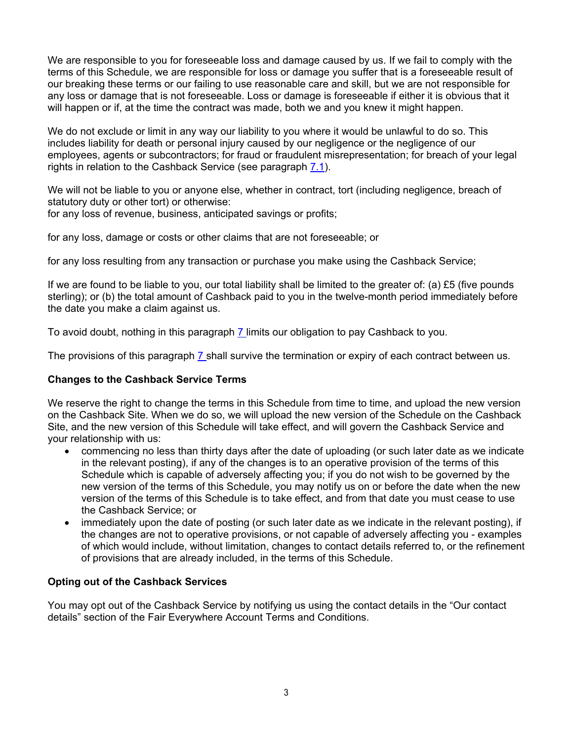We are responsible to you for foreseeable loss and damage caused by us. If we fail to comply with the terms of this Schedule, we are responsible for loss or damage you suffer that is a foreseeable result of our breaking these terms or our failing to use reasonable care and skill, but we are not responsible for any loss or damage that is not foreseeable. Loss or damage is foreseeable if either it is obvious that it will happen or if, at the time the contract was made, both we and you knew it might happen.

We do not exclude or limit in any way our liability to you where it would be unlawful to do so. This includes liability for death or personal injury caused by our negligence or the negligence of our employees, agents or subcontractors; for fraud or fraudulent misrepresentation; for breach of your legal rights in relation to the Cashback Service (see paragraph [7.1\)](#page-1-0).

We will not be liable to you or anyone else, whether in contract, tort (including negligence, breach of statutory duty or other tort) or otherwise:

for any loss of revenue, business, anticipated savings or profits;

for any loss, damage or costs or other claims that are not foreseeable; or

for any loss resulting from any transaction or purchase you make using the Cashback Service;

If we are found to be liable to you, our total liability shall be limited to the greater of: (a)  $£5$  (five pounds sterling); or (b) the total amount of Cashback paid to you in the twelve-month period immediately before the date you make a claim against us.

To avoid doubt, nothing in this paragraph [7 l](#page-1-1)imits our obligation to pay Cashback to you.

The provisions of this paragraph [7 s](#page-1-1)hall survive the termination or expiry of each contract between us.

# **Changes to the Cashback Service Terms**

We reserve the right to change the terms in this Schedule from time to time, and upload the new version on the Cashback Site. When we do so, we will upload the new version of the Schedule on the Cashback Site, and the new version of this Schedule will take effect, and will govern the Cashback Service and your relationship with us:

- commencing no less than thirty days after the date of uploading (or such later date as we indicate in the relevant posting), if any of the changes is to an operative provision of the terms of this Schedule which is capable of adversely affecting you; if you do not wish to be governed by the new version of the terms of this Schedule, you may notify us on or before the date when the new version of the terms of this Schedule is to take effect, and from that date you must cease to use the Cashback Service; or
- immediately upon the date of posting (or such later date as we indicate in the relevant posting), if the changes are not to operative provisions, or not capable of adversely affecting you - examples of which would include, without limitation, changes to contact details referred to, or the refinement of provisions that are already included, in the terms of this Schedule.

# **Opting out of the Cashback Services**

You may opt out of the Cashback Service by notifying us using the contact details in the "Our contact details" section of the Fair Everywhere Account Terms and Conditions.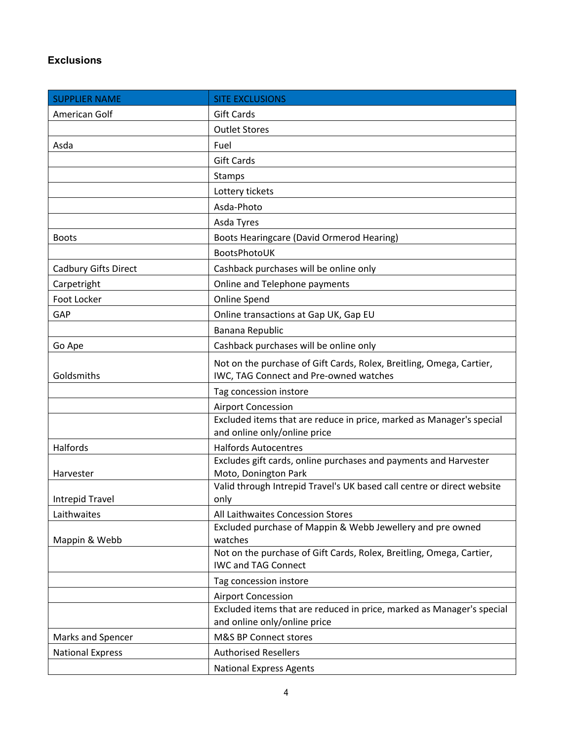# **Exclusions**

| <b>SUPPLIER NAME</b>        | <b>SITE EXCLUSIONS</b>                                                                                         |
|-----------------------------|----------------------------------------------------------------------------------------------------------------|
| American Golf               | <b>Gift Cards</b>                                                                                              |
|                             | <b>Outlet Stores</b>                                                                                           |
| Asda                        | Fuel                                                                                                           |
|                             | <b>Gift Cards</b>                                                                                              |
|                             | Stamps                                                                                                         |
|                             | Lottery tickets                                                                                                |
|                             | Asda-Photo                                                                                                     |
|                             | Asda Tyres                                                                                                     |
| <b>Boots</b>                | Boots Hearingcare (David Ormerod Hearing)                                                                      |
|                             | BootsPhotoUK                                                                                                   |
| <b>Cadbury Gifts Direct</b> | Cashback purchases will be online only                                                                         |
| Carpetright                 | Online and Telephone payments                                                                                  |
| Foot Locker                 | Online Spend                                                                                                   |
| GAP                         | Online transactions at Gap UK, Gap EU                                                                          |
|                             | Banana Republic                                                                                                |
| Go Ape                      | Cashback purchases will be online only                                                                         |
| Goldsmiths                  | Not on the purchase of Gift Cards, Rolex, Breitling, Omega, Cartier,<br>IWC, TAG Connect and Pre-owned watches |
|                             | Tag concession instore                                                                                         |
|                             | <b>Airport Concession</b>                                                                                      |
|                             | Excluded items that are reduce in price, marked as Manager's special<br>and online only/online price           |
| Halfords                    | <b>Halfords Autocentres</b>                                                                                    |
| Harvester                   | Excludes gift cards, online purchases and payments and Harvester<br>Moto, Donington Park                       |
|                             | Valid through Intrepid Travel's UK based call centre or direct website                                         |
| <b>Intrepid Travel</b>      | only                                                                                                           |
| Laithwaites                 | All Laithwaites Concession Stores                                                                              |
| Mappin & Webb               | Excluded purchase of Mappin & Webb Jewellery and pre owned<br>watches                                          |
|                             | Not on the purchase of Gift Cards, Rolex, Breitling, Omega, Cartier,<br><b>IWC and TAG Connect</b>             |
|                             | Tag concession instore                                                                                         |
|                             | <b>Airport Concession</b>                                                                                      |
|                             | Excluded items that are reduced in price, marked as Manager's special<br>and online only/online price          |
| Marks and Spencer           | M&S BP Connect stores                                                                                          |
| <b>National Express</b>     | <b>Authorised Resellers</b>                                                                                    |
|                             | <b>National Express Agents</b>                                                                                 |